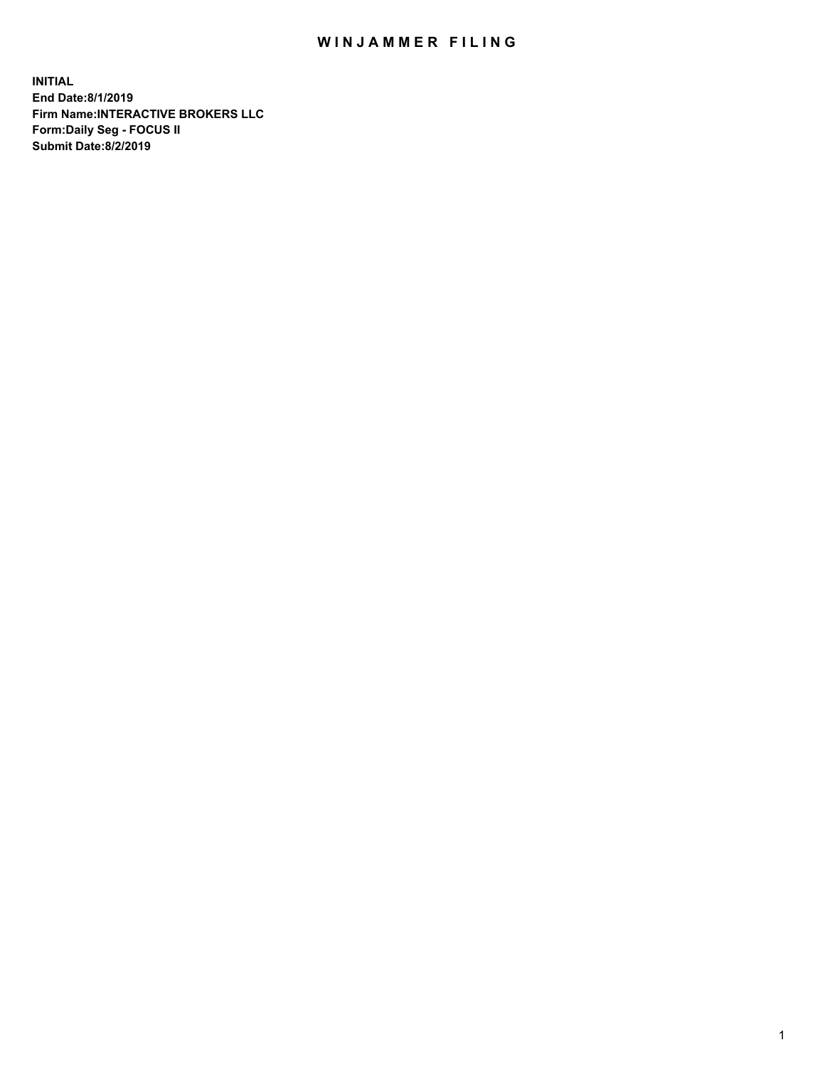## WIN JAMMER FILING

**INITIAL End Date:8/1/2019 Firm Name:INTERACTIVE BROKERS LLC Form:Daily Seg - FOCUS II Submit Date:8/2/2019**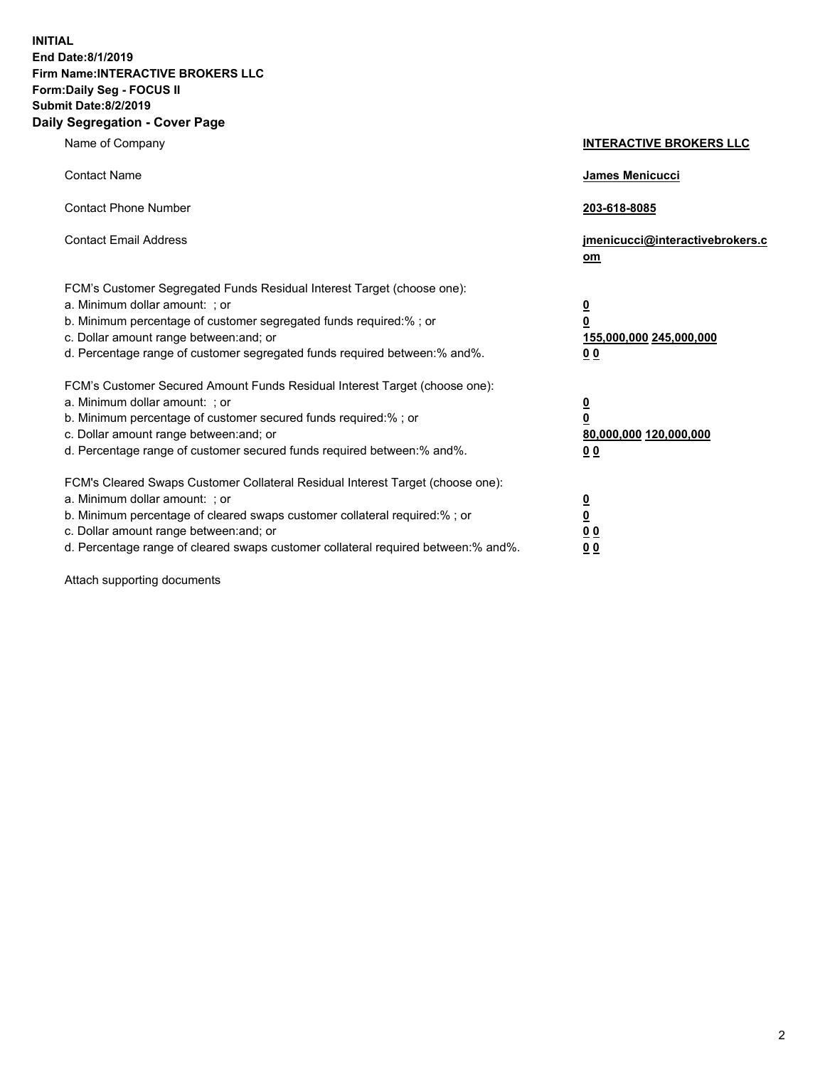**INITIAL End Date:8/1/2019 Firm Name:INTERACTIVE BROKERS LLC Form:Daily Seg - FOCUS II Submit Date:8/2/2019 Daily Segregation - Cover Page**

| Name of Company                                                                                                                                                                                                                                                                                                                | <b>INTERACTIVE BROKERS LLC</b>                                                      |
|--------------------------------------------------------------------------------------------------------------------------------------------------------------------------------------------------------------------------------------------------------------------------------------------------------------------------------|-------------------------------------------------------------------------------------|
| <b>Contact Name</b>                                                                                                                                                                                                                                                                                                            | James Menicucci                                                                     |
| <b>Contact Phone Number</b>                                                                                                                                                                                                                                                                                                    | 203-618-8085                                                                        |
| <b>Contact Email Address</b>                                                                                                                                                                                                                                                                                                   | jmenicucci@interactivebrokers.c<br>om                                               |
| FCM's Customer Segregated Funds Residual Interest Target (choose one):<br>a. Minimum dollar amount: ; or<br>b. Minimum percentage of customer segregated funds required:% ; or<br>c. Dollar amount range between: and; or<br>d. Percentage range of customer segregated funds required between:% and%.                         | $\overline{\mathbf{0}}$<br>$\overline{\mathbf{0}}$<br>155,000,000 245,000,000<br>00 |
| FCM's Customer Secured Amount Funds Residual Interest Target (choose one):<br>a. Minimum dollar amount: ; or<br>b. Minimum percentage of customer secured funds required:% ; or<br>c. Dollar amount range between: and; or<br>d. Percentage range of customer secured funds required between:% and%.                           | $\overline{\mathbf{0}}$<br>$\pmb{0}$<br>80,000,000 120,000,000<br>00                |
| FCM's Cleared Swaps Customer Collateral Residual Interest Target (choose one):<br>a. Minimum dollar amount: ; or<br>b. Minimum percentage of cleared swaps customer collateral required:% ; or<br>c. Dollar amount range between: and; or<br>d. Percentage range of cleared swaps customer collateral required between:% and%. | $\overline{\mathbf{0}}$<br>$\underline{\mathbf{0}}$<br>0 <sub>0</sub><br>00         |

Attach supporting documents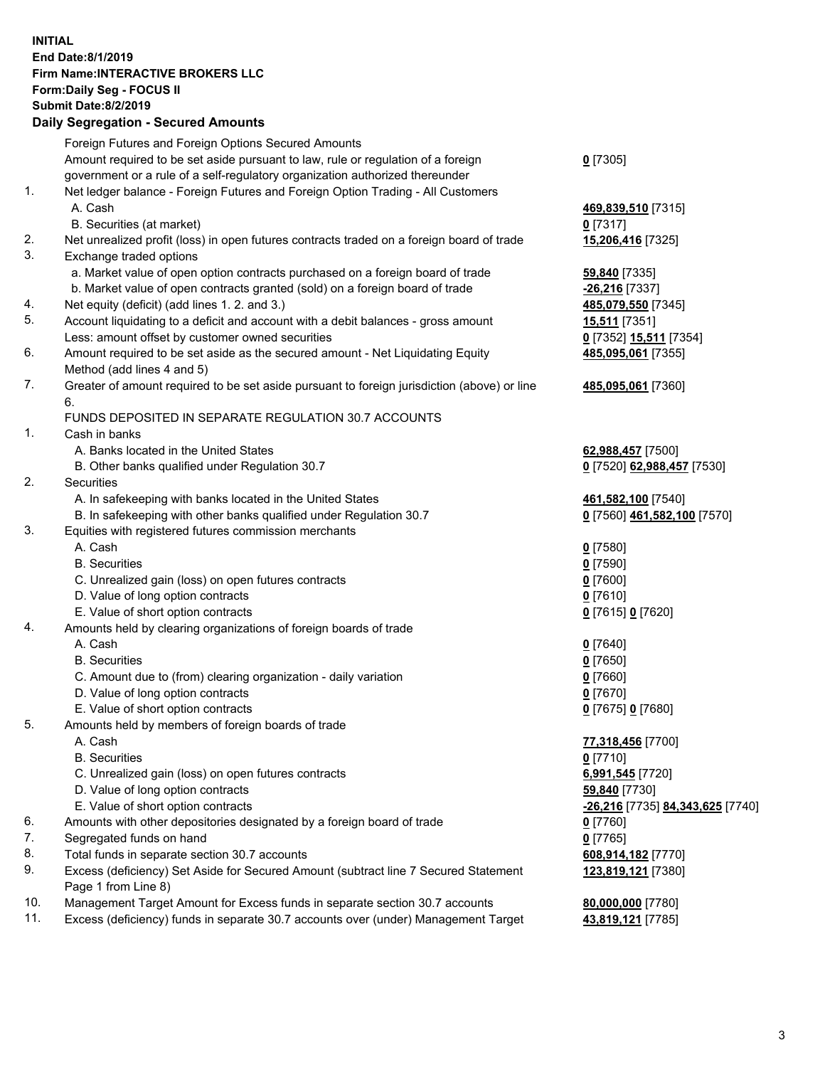## **INITIAL End Date:8/1/2019 Firm Name:INTERACTIVE BROKERS LLC Form:Daily Seg - FOCUS II Submit Date:8/2/2019 Daily Segregation - Secured Amounts**

|                | <u> 888888888888888888888888888</u>                                                               |                                                        |
|----------------|---------------------------------------------------------------------------------------------------|--------------------------------------------------------|
|                | Foreign Futures and Foreign Options Secured Amounts                                               |                                                        |
|                | Amount required to be set aside pursuant to law, rule or regulation of a foreign                  | $0$ [7305]                                             |
|                | government or a rule of a self-regulatory organization authorized thereunder                      |                                                        |
| $\mathbf{1}$ . | Net ledger balance - Foreign Futures and Foreign Option Trading - All Customers                   |                                                        |
|                | A. Cash                                                                                           | 469,839,510 [7315]                                     |
|                | B. Securities (at market)                                                                         | $0$ [7317]                                             |
| 2.             | Net unrealized profit (loss) in open futures contracts traded on a foreign board of trade         | 15,206,416 [7325]                                      |
| 3.             | Exchange traded options                                                                           |                                                        |
|                | a. Market value of open option contracts purchased on a foreign board of trade                    | 59,840 [7335]                                          |
|                | b. Market value of open contracts granted (sold) on a foreign board of trade                      | -26,216 [7337]                                         |
| 4.             | Net equity (deficit) (add lines 1. 2. and 3.)                                                     | 485,079,550 [7345]                                     |
| 5.             | Account liquidating to a deficit and account with a debit balances - gross amount                 | <b>15,511</b> [7351]                                   |
|                | Less: amount offset by customer owned securities                                                  | 0 [7352] 15,511 [7354]                                 |
| 6.             | Amount required to be set aside as the secured amount - Net Liquidating Equity                    | 485,095,061 [7355]                                     |
|                | Method (add lines 4 and 5)                                                                        |                                                        |
| 7.             | Greater of amount required to be set aside pursuant to foreign jurisdiction (above) or line<br>6. | 485,095,061 [7360]                                     |
|                | FUNDS DEPOSITED IN SEPARATE REGULATION 30.7 ACCOUNTS                                              |                                                        |
| $\mathbf{1}$ . | Cash in banks                                                                                     |                                                        |
|                | A. Banks located in the United States                                                             | 62,988,457 [7500]                                      |
|                | B. Other banks qualified under Regulation 30.7                                                    | 0 [7520] 62,988,457 [7530]                             |
| 2.             | Securities                                                                                        |                                                        |
|                | A. In safekeeping with banks located in the United States                                         | 461,582,100 [7540]                                     |
|                | B. In safekeeping with other banks qualified under Regulation 30.7                                | 0 [7560] 461,582,100 [7570]                            |
| 3.             | Equities with registered futures commission merchants                                             |                                                        |
|                | A. Cash                                                                                           | $0$ [7580]                                             |
|                | <b>B.</b> Securities                                                                              | $0$ [7590]                                             |
|                | C. Unrealized gain (loss) on open futures contracts                                               | $0$ [7600]                                             |
|                | D. Value of long option contracts                                                                 | $0$ [7610]                                             |
|                | E. Value of short option contracts                                                                | 0 [7615] 0 [7620]                                      |
| 4.             | Amounts held by clearing organizations of foreign boards of trade                                 |                                                        |
|                | A. Cash                                                                                           | $0$ [7640]                                             |
|                | <b>B.</b> Securities                                                                              | $0$ [7650]                                             |
|                | C. Amount due to (from) clearing organization - daily variation                                   | $0$ [7660]                                             |
|                | D. Value of long option contracts                                                                 | $0$ [7670]                                             |
|                | E. Value of short option contracts                                                                | 0 [7675] 0 [7680]                                      |
| 5.             | Amounts held by members of foreign boards of trade                                                |                                                        |
|                | A. Cash                                                                                           | 77,318,456 [7700]                                      |
|                | <b>B.</b> Securities                                                                              | $0$ [7710]                                             |
|                | C. Unrealized gain (loss) on open futures contracts                                               | 6,991,545 [7720]                                       |
|                | D. Value of long option contracts                                                                 | 59,840 [7730]                                          |
|                | E. Value of short option contracts                                                                | <u>-<b>26,216</b> [</u> 7735] <u>84,343,625</u> [7740] |
| 6.             | Amounts with other depositories designated by a foreign board of trade                            | $0$ [7760]                                             |
| 7.             | Segregated funds on hand                                                                          | $0$ [7765]                                             |
| 8.             | Total funds in separate section 30.7 accounts                                                     | 608,914,182 [7770]                                     |
| 9.             | Excess (deficiency) Set Aside for Secured Amount (subtract line 7 Secured Statement               | 123,819,121 [7380]                                     |
|                | Page 1 from Line 8)                                                                               |                                                        |
| 10.            | Management Target Amount for Excess funds in separate section 30.7 accounts                       | 80,000,000 [7780]                                      |
| 11.            | Excess (deficiency) funds in separate 30.7 accounts over (under) Management Target                | 43,819,121 [7785]                                      |
|                |                                                                                                   |                                                        |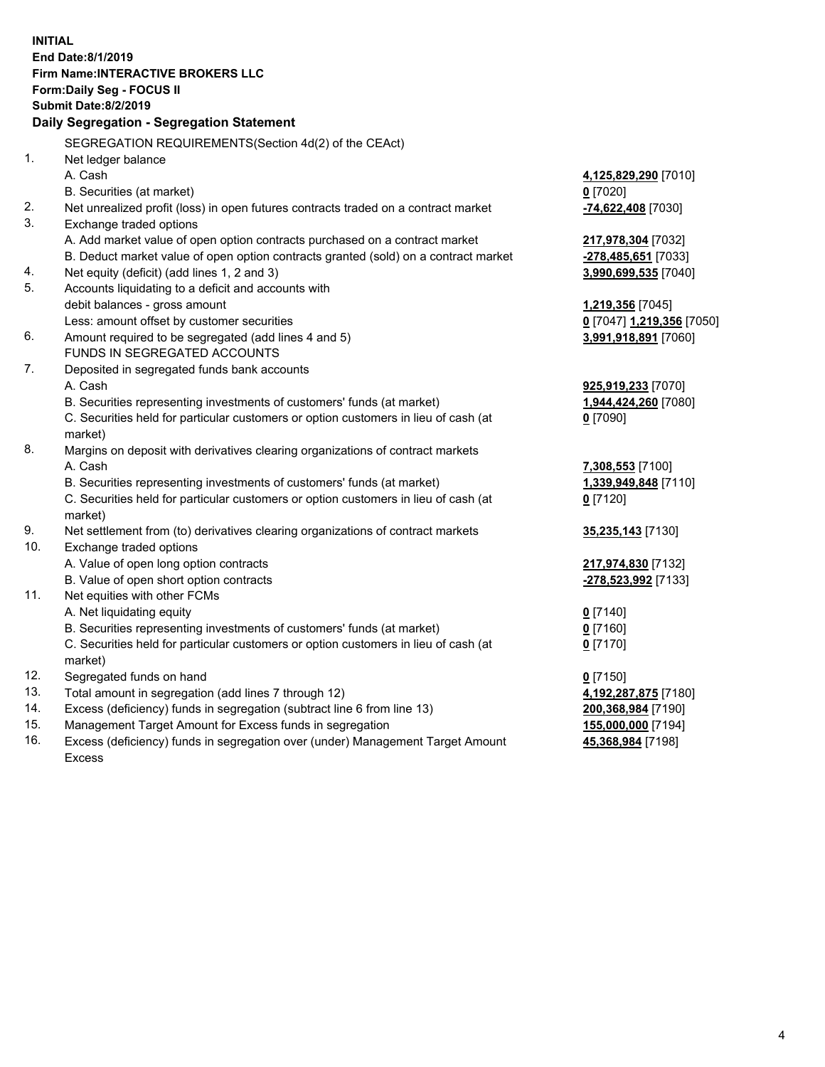**INITIAL End Date:8/1/2019 Firm Name:INTERACTIVE BROKERS LLC Form:Daily Seg - FOCUS II Submit Date:8/2/2019 Daily Segregation - Segregation Statement** SEGREGATION REQUIREMENTS(Section 4d(2) of the CEAct) 1. Net ledger balance A. Cash **4,125,829,290** [7010] B. Securities (at market) **0** [7020] 2. Net unrealized profit (loss) in open futures contracts traded on a contract market **-74,622,408** [7030] 3. Exchange traded options A. Add market value of open option contracts purchased on a contract market **217,978,304** [7032] B. Deduct market value of open option contracts granted (sold) on a contract market **-278,485,651** [7033] 4. Net equity (deficit) (add lines 1, 2 and 3) **3,990,699,535** [7040] 5. Accounts liquidating to a deficit and accounts with debit balances - gross amount **1,219,356** [7045] Less: amount offset by customer securities **0** [7047] **1,219,356** [7050] 6. Amount required to be segregated (add lines 4 and 5) **3,991,918,891** [7060] FUNDS IN SEGREGATED ACCOUNTS 7. Deposited in segregated funds bank accounts A. Cash **925,919,233** [7070] B. Securities representing investments of customers' funds (at market) **1,944,424,260** [7080] C. Securities held for particular customers or option customers in lieu of cash (at market) **0** [7090] 8. Margins on deposit with derivatives clearing organizations of contract markets A. Cash **7,308,553** [7100] B. Securities representing investments of customers' funds (at market) **1,339,949,848** [7110] C. Securities held for particular customers or option customers in lieu of cash (at market) **0** [7120] 9. Net settlement from (to) derivatives clearing organizations of contract markets **35,235,143** [7130] 10. Exchange traded options A. Value of open long option contracts **217,974,830** [7132] B. Value of open short option contracts **-278,523,992** [7133] 11. Net equities with other FCMs A. Net liquidating equity **0** [7140] B. Securities representing investments of customers' funds (at market) **0** [7160] C. Securities held for particular customers or option customers in lieu of cash (at market) **0** [7170] 12. Segregated funds on hand **0** [7150] 13. Total amount in segregation (add lines 7 through 12) **4,192,287,875** [7180] 14. Excess (deficiency) funds in segregation (subtract line 6 from line 13) **200,368,984** [7190] 15. Management Target Amount for Excess funds in segregation **155,000,000** [7194]

16. Excess (deficiency) funds in segregation over (under) Management Target Amount Excess

**45,368,984** [7198]